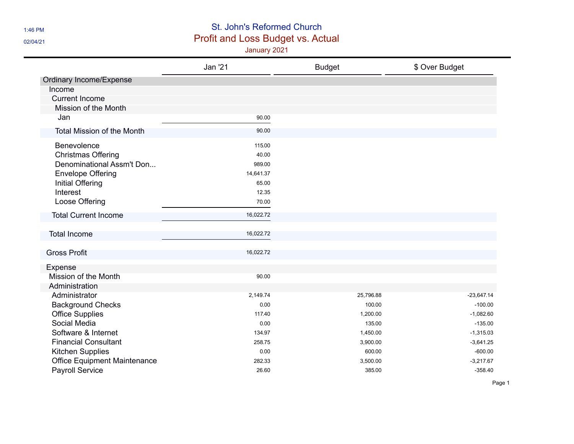## 1:46 PM St. John's Reformed Church 02/04/21 02/04/21

|                                     | <b>Jan '21</b> | <b>Budget</b> | \$ Over Budget |
|-------------------------------------|----------------|---------------|----------------|
| Ordinary Income/Expense             |                |               |                |
| Income                              |                |               |                |
| <b>Current Income</b>               |                |               |                |
| Mission of the Month                |                |               |                |
| Jan                                 | 90.00          |               |                |
| <b>Total Mission of the Month</b>   | 90.00          |               |                |
| Benevolence                         | 115.00         |               |                |
| <b>Christmas Offering</b>           | 40.00          |               |                |
| Denominational Assm't Don           | 989.00         |               |                |
| <b>Envelope Offering</b>            | 14,641.37      |               |                |
| Initial Offering                    | 65.00          |               |                |
| Interest                            | 12.35          |               |                |
| Loose Offering                      | 70.00          |               |                |
| <b>Total Current Income</b>         | 16,022.72      |               |                |
| <b>Total Income</b>                 | 16,022.72      |               |                |
|                                     |                |               |                |
| <b>Gross Profit</b>                 | 16,022.72      |               |                |
| Expense                             |                |               |                |
| Mission of the Month                | 90.00          |               |                |
| Administration                      |                |               |                |
| Administrator                       | 2,149.74       | 25,796.88     | $-23,647.14$   |
| <b>Background Checks</b>            | 0.00           | 100.00        | $-100.00$      |
| <b>Office Supplies</b>              | 117.40         | 1,200.00      | $-1,082.60$    |
| Social Media                        | 0.00           | 135.00        | $-135.00$      |
| Software & Internet                 | 134.97         | 1,450.00      | $-1,315.03$    |
| <b>Financial Consultant</b>         | 258.75         | 3,900.00      | $-3,641.25$    |
| <b>Kitchen Supplies</b>             | 0.00           | 600.00        | $-600.00$      |
| <b>Office Equipment Maintenance</b> | 282.33         | 3,500.00      | $-3,217.67$    |
| <b>Payroll Service</b>              | 26.60          | 385.00        | $-358.40$      |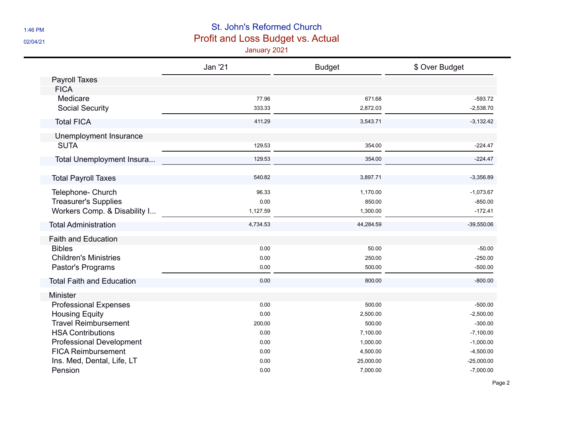## 1:46 PM St. John's Reformed Church 02/04/21 02/04/21

|                                  | <b>Jan '21</b> | <b>Budget</b> | \$ Over Budget |
|----------------------------------|----------------|---------------|----------------|
| <b>Payroll Taxes</b>             |                |               |                |
| <b>FICA</b>                      |                |               |                |
| Medicare                         | 77.96          | 671.68        | $-593.72$      |
| <b>Social Security</b>           | 333.33         | 2,872.03      | $-2,538.70$    |
| <b>Total FICA</b>                | 411.29         | 3,543.71      | $-3,132.42$    |
| Unemployment Insurance           |                |               |                |
| <b>SUTA</b>                      | 129.53         | 354.00        | $-224.47$      |
| Total Unemployment Insura        | 129.53         | 354.00        | $-224.47$      |
| <b>Total Payroll Taxes</b>       | 540.82         | 3,897.71      | $-3,356.89$    |
| Telephone- Church                | 96.33          | 1,170.00      | $-1,073.67$    |
| <b>Treasurer's Supplies</b>      | 0.00           | 850.00        | $-850.00$      |
| Workers Comp. & Disability I     | 1,127.59       | 1,300.00      | $-172.41$      |
| <b>Total Administration</b>      | 4,734.53       | 44,284.59     | $-39,550.06$   |
| <b>Faith and Education</b>       |                |               |                |
| <b>Bibles</b>                    | 0.00           | 50.00         | $-50.00$       |
| <b>Children's Ministries</b>     | 0.00           | 250.00        | $-250.00$      |
| Pastor's Programs                | 0.00           | 500.00        | $-500.00$      |
| <b>Total Faith and Education</b> | 0.00           | 800.00        | $-800.00$      |
| Minister                         |                |               |                |
| <b>Professional Expenses</b>     | 0.00           | 500.00        | $-500.00$      |
| <b>Housing Equity</b>            | 0.00           | 2,500.00      | $-2,500.00$    |
| <b>Travel Reimbursement</b>      | 200.00         | 500.00        | $-300.00$      |
| <b>HSA Contributions</b>         | 0.00           | 7,100.00      | $-7,100.00$    |
| <b>Professional Development</b>  | 0.00           | 1,000.00      | $-1,000.00$    |
| <b>FICA Reimbursement</b>        | 0.00           | 4,500.00      | $-4,500.00$    |
| Ins. Med, Dental, Life, LT       | 0.00           | 25,000.00     | $-25,000.00$   |
| Pension                          | 0.00           | 7,000.00      | $-7,000.00$    |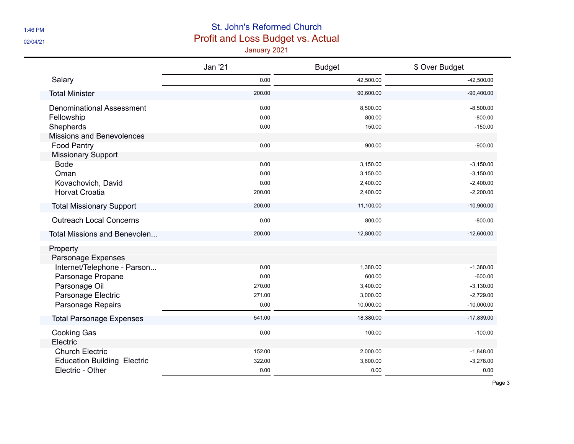## 1:46 PM St. John's Reformed Church **DET AN ALL AN ARTICLES Profit and Loss Budget vs. Actual**

|                                     | Jan '21 | <b>Budget</b> | \$ Over Budget |
|-------------------------------------|---------|---------------|----------------|
| Salary                              | 0.00    | 42,500.00     | $-42,500.00$   |
| <b>Total Minister</b>               | 200.00  | 90,600.00     | $-90,400.00$   |
| <b>Denominational Assessment</b>    | 0.00    | 8,500.00      | $-8,500.00$    |
| Fellowship                          | 0.00    | 800.00        | $-800.00$      |
| Shepherds                           | 0.00    | 150.00        | $-150.00$      |
| <b>Missions and Benevolences</b>    |         |               |                |
| <b>Food Pantry</b>                  | 0.00    | 900.00        | $-900.00$      |
| <b>Missionary Support</b>           |         |               |                |
| <b>Bode</b>                         | 0.00    | 3,150.00      | $-3,150.00$    |
| Oman                                | 0.00    | 3,150.00      | $-3,150.00$    |
| Kovachovich, David                  | 0.00    | 2,400.00      | $-2,400.00$    |
| <b>Horvat Croatia</b>               | 200.00  | 2,400.00      | $-2,200.00$    |
| <b>Total Missionary Support</b>     | 200.00  | 11,100.00     | $-10,900.00$   |
| <b>Outreach Local Concerns</b>      | 0.00    | 800.00        | $-800.00$      |
| <b>Total Missions and Benevolen</b> | 200.00  | 12,800.00     | $-12,600.00$   |
| Property                            |         |               |                |
| Parsonage Expenses                  |         |               |                |
| Internet/Telephone - Parson         | 0.00    | 1,380.00      | $-1,380.00$    |
| Parsonage Propane                   | 0.00    | 600.00        | $-600.00$      |
| Parsonage Oil                       | 270.00  | 3,400.00      | $-3,130.00$    |
| Parsonage Electric                  | 271.00  | 3,000.00      | $-2,729.00$    |
| <b>Parsonage Repairs</b>            | 0.00    | 10,000.00     | $-10,000.00$   |
| <b>Total Parsonage Expenses</b>     | 541.00  | 18,380.00     | $-17,839.00$   |
| <b>Cooking Gas</b>                  | 0.00    | 100.00        | $-100.00$      |
| Electric                            |         |               |                |
| <b>Church Electric</b>              | 152.00  | 2,000.00      | $-1,848.00$    |
| <b>Education Building Electric</b>  | 322.00  | 3,600.00      | $-3,278.00$    |
| Electric - Other                    | 0.00    | 0.00          | 0.00           |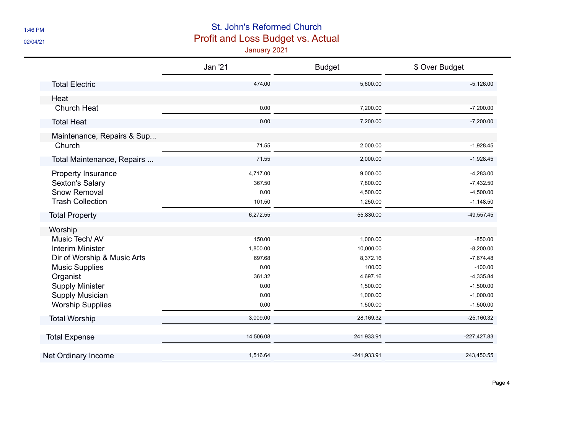## 1:46 PM St. John's Reformed Church 02/04/21 02/04/21

|                             | <b>Jan '21</b> | <b>Budget</b> | \$ Over Budget |
|-----------------------------|----------------|---------------|----------------|
| <b>Total Electric</b>       | 474.00         | 5,600.00      | $-5,126.00$    |
| Heat                        |                |               |                |
| Church Heat                 | 0.00           | 7,200.00      | $-7,200.00$    |
| <b>Total Heat</b>           | 0.00           | 7,200.00      | $-7,200.00$    |
| Maintenance, Repairs & Sup  |                |               |                |
| Church                      | 71.55          | 2,000.00      | $-1,928.45$    |
| Total Maintenance, Repairs  | 71.55          | 2,000.00      | $-1,928.45$    |
| Property Insurance          | 4,717.00       | 9,000.00      | $-4,283.00$    |
| Sexton's Salary             | 367.50         | 7,800.00      | $-7,432.50$    |
| Snow Removal                | 0.00           | 4,500.00      | $-4,500.00$    |
| <b>Trash Collection</b>     | 101.50         | 1,250.00      | $-1,148.50$    |
| <b>Total Property</b>       | 6,272.55       | 55,830.00     | $-49,557.45$   |
| Worship                     |                |               |                |
| Music Tech/AV               | 150.00         | 1,000.00      | $-850.00$      |
| <b>Interim Minister</b>     | 1,800.00       | 10,000.00     | $-8,200.00$    |
| Dir of Worship & Music Arts | 697.68         | 8,372.16      | $-7,674.48$    |
| <b>Music Supplies</b>       | 0.00           | 100.00        | $-100.00$      |
| Organist                    | 361.32         | 4,697.16      | $-4,335.84$    |
| <b>Supply Minister</b>      | 0.00           | 1,500.00      | $-1,500.00$    |
| Supply Musician             | 0.00           | 1,000.00      | $-1,000.00$    |
| <b>Worship Supplies</b>     | 0.00           | 1,500.00      | $-1,500.00$    |
| <b>Total Worship</b>        | 3,009.00       | 28,169.32     | $-25,160.32$   |
| <b>Total Expense</b>        | 14,506.08      | 241,933.91    | $-227,427.83$  |
| Net Ordinary Income         | 1,516.64       | $-241,933.91$ | 243,450.55     |